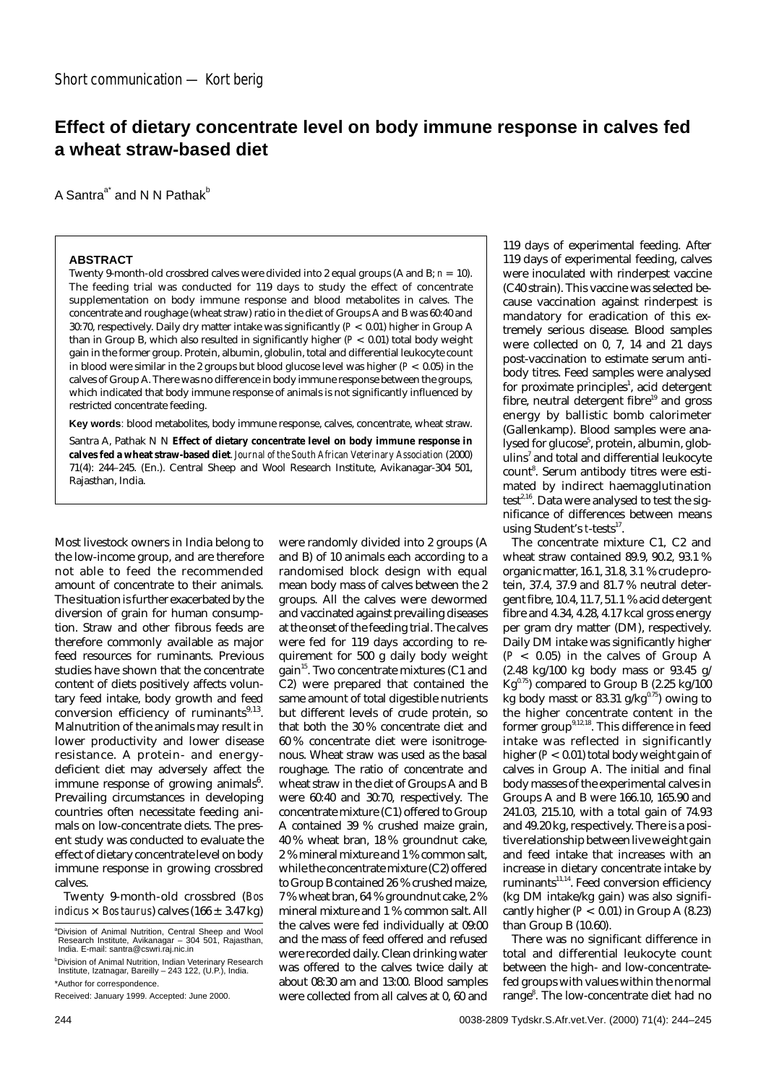## **Effect of dietary concentrate level on body immune response in calves fed a wheat straw-based diet**

were randomly divided into 2 groups (A and B) of 10 animals each according to a randomised block design with equal mean body mass of calves between the 2

A Santra<sup>a\*</sup> and N N Pathak<sup>b</sup>

## **ABSTRACT**

Twenty 9-month-old crossbred calves were divided into 2 equal groups (A and B;  $n = 10$ ). The feeding trial was conducted for 119 days to study the effect of concentrate supplementation on body immune response and blood metabolites in calves. The concentrate and roughage (wheat straw) ratio in the diet of Groups A and B was 60:40 and 30:70, respectively. Daily dry matter intake was significantly (*P* < 0.01) higher in Group A than in Group B, which also resulted in significantly higher (*P* < 0.01) total body weight gain in the former group. Protein, albumin, globulin, total and differential leukocyte count in blood were similar in the 2 groups but blood glucose level was higher (*P* < 0.05) in the calves of Group A. There was no difference in body immune response between the groups, which indicated that body immune response of animals is not significantly influenced by restricted concentrate feeding.

**Key words**: blood metabolites, body immune response, calves, concentrate, wheat straw.

Santra A, Pathak N N **Effect of dietary concentrate level on body immune response in calves fed a wheat straw-based diet**. *Journal of the South African Veterinary Association* (2000) 71(4): 244–245. (En.). Central Sheep and Wool Research Institute, Avikanagar-304 501, Rajasthan, India.

Most livestock owners in India belong to the low-income group, and are therefore not able to feed the recommended amount of concentrate to their animals. The situation is further exacerbated by the diversion of grain for human consumption. Straw and other fibrous feeds are therefore commonly available as major feed resources for ruminants. Previous studies have shown that the concentrate content of diets positively affects voluntary feed intake, body growth and feed conversion efficiency of ruminants $9,13$ . Malnutrition of the animals may result in lower productivity and lower disease resistance. A protein- and energydeficient diet may adversely affect the immune response of growing animals<sup>6</sup>. Prevailing circumstances in developing countries often necessitate feeding animals on low-concentrate diets. The present study was conducted to evaluate the effect of dietary concentrate level on body immune response in growing crossbred calves.

Twenty 9-month-old crossbred (*Bos indicus*  $\times$  *Bos taurus*) calves (166  $\pm$  3.47 kg)

groups. All the calves were dewormed and vaccinated against prevailing diseases at the onset of the feeding trial. The calves were fed for 119 days according to requirement for 500 g daily body weight gain<sup>15</sup>. Two concentrate mixtures (C1 and C2) were prepared that contained the same amount of total digestible nutrients but different levels of crude protein, so that both the 30 % concentrate diet and 60 % concentrate diet were isonitrogenous. Wheat straw was used as the basal roughage. The ratio of concentrate and wheat straw in the diet of Groups A and B were 60:40 and 30:70, respectively. The concentrate mixture (C1) offered to Group A contained 39 % crushed maize grain, 40 % wheat bran, 18 % groundnut cake, 2 % mineral mixture and 1 % common salt, while the concentrate mixture (C2) offered to Group B contained 26 % crushed maize, 7 % wheat bran, 64 % groundnut cake, 2 % mineral mixture and 1 % common salt. All the calves were fed individually at 09:00 and the mass of feed offered and refused were recorded daily. Clean drinking water was offered to the calves twice daily at about 08:30 am and 13:00. Blood samples were collected from all calves at 0, 60 and

119 days of experimental feeding. After 119 days of experimental feeding, calves were inoculated with rinderpest vaccine (C40 strain). This vaccine was selected because vaccination against rinderpest is mandatory for eradication of this extremely serious disease. Blood samples were collected on 0, 7, 14 and 21 days post-vaccination to estimate serum antibody titres. Feed samples were analysed for proximate principles<sup>1</sup>, acid detergent fibre, neutral detergent fibre<sup>19</sup> and gross energy by ballistic bomb calorimeter (Gallenkamp). Blood samples were analysed for glucose<sup>5</sup>, protein, albumin, globulins<sup>7</sup> and total and differential leukocyte count<sup>8</sup>. Serum antibody titres were estimated by indirect haemagglutination test<sup>2,16</sup>. Data were analysed to test the significance of differences between means using Student's *t*-tests<sup>17</sup>.

The concentrate mixture C1, C2 and wheat straw contained 89.9, 90.2, 93.1 % organic matter, 16.1, 31.8, 3.1 % crude protein, 37.4, 37.9 and 81.7 % neutral detergent fibre, 10.4, 11.7, 51.1 % acid detergent fibre and 4.34, 4.28, 4.17 kcal gross energy per gram dry matter (DM), respectively. Daily DM intake was significantly higher (*P* < 0.05) in the calves of Group A (2.48 kg/100 kg body mass or 93.45 g/  $Kq^{0.75}$ ) compared to Group B (2.25 kg/100 kg body masst or 83.31 g/kg $^{0.75}$ ) owing to the higher concentrate content in the former group<sup>9,12,18</sup>. This difference in feed intake was reflected in significantly higher  $(P < 0.01)$  total body weight gain of calves in Group A. The initial and final body masses of the experimental calves in Groups A and B were 166.10, 165.90 and 241.03, 215.10, with a total gain of 74.93 and 49.20 kg, respectively. There is a positive relationship between live weight gain and feed intake that increases with an increase in dietary concentrate intake by ruminants<sup>11,14</sup>. Feed conversion efficiency (kg DM intake/kg gain) was also significantly higher  $(P < 0.01)$  in Group A  $(8.23)$ than Group B (10.60).

There was no significant difference in total and differential leukocyte count between the high- and low-concentratefed groups with values within the normal range<sup>8</sup>. The low-concentrate diet had no

a Division of Animal Nutrition, Central Sheep and Wool Research Institute, Avikanagar – 304 501, Rajasthan, India. E-mail: santra@cswri.raj.nic.in

b Division of Animal Nutrition, Indian Veterinary Research Institute, Izatnagar, Bareilly – 243 122, (U.P.), India. \*Author for correspondence.

Received: January 1999. Accepted: June 2000.